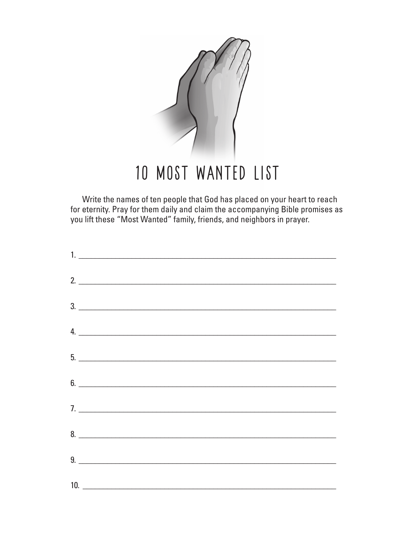

Write the names of ten people that God has placed on your heart to reach for eternity. Pray for them daily and claim the accompanying Bible promises as you lift these "Most Wanted" family, friends, and neighbors in prayer.

| 1.                            |
|-------------------------------|
| 2.                            |
| $\frac{3}{2}$                 |
| 4.                            |
| 5.                            |
| $6.$ $\overline{\phantom{a}}$ |
| 7.                            |
| $8.$ $\overline{\phantom{a}}$ |
|                               |
| 10.                           |